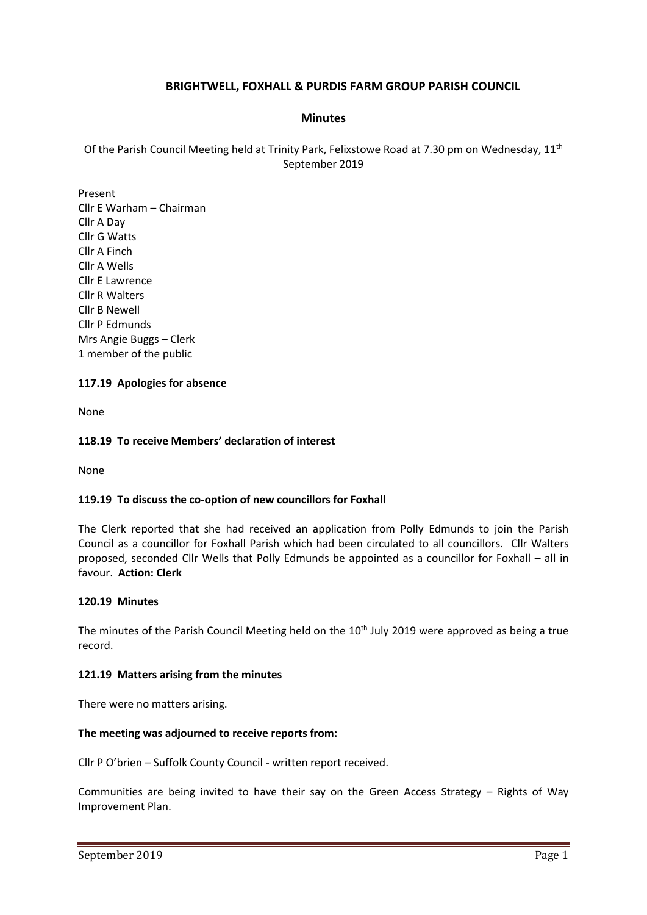# **BRIGHTWELL, FOXHALL & PURDIS FARM GROUP PARISH COUNCIL**

### **Minutes**

Of the Parish Council Meeting held at Trinity Park, Felixstowe Road at 7.30 pm on Wednesday, 11<sup>th</sup> September 2019

Present Cllr E Warham – Chairman Cllr A Day Cllr G Watts Cllr A Finch Cllr A Wells Cllr E Lawrence Cllr R Walters Cllr B Newell Cllr P Edmunds Mrs Angie Buggs – Clerk 1 member of the public

## **117.19 Apologies for absence**

None

#### **118.19 To receive Members' declaration of interest**

None

#### **119.19 To discuss the co-option of new councillors for Foxhall**

The Clerk reported that she had received an application from Polly Edmunds to join the Parish Council as a councillor for Foxhall Parish which had been circulated to all councillors. Cllr Walters proposed, seconded Cllr Wells that Polly Edmunds be appointed as a councillor for Foxhall – all in favour. **Action: Clerk**

#### **120.19 Minutes**

The minutes of the Parish Council Meeting held on the  $10<sup>th</sup>$  July 2019 were approved as being a true record.

#### **121.19 Matters arising from the minutes**

There were no matters arising.

#### **The meeting was adjourned to receive reports from:**

Cllr P O'brien – Suffolk County Council - written report received.

Communities are being invited to have their say on the Green Access Strategy – Rights of Way Improvement Plan.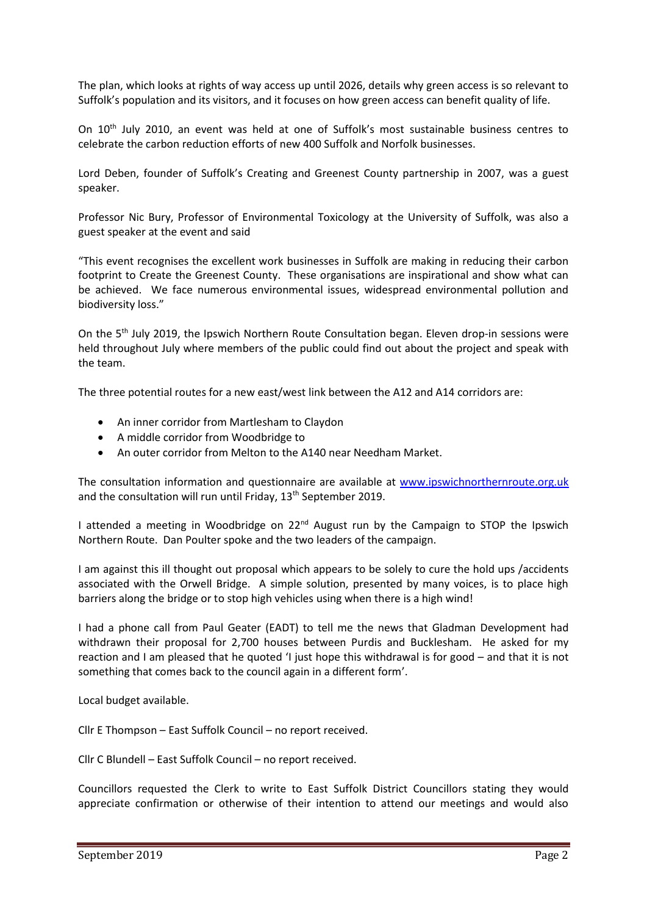The plan, which looks at rights of way access up until 2026, details why green access is so relevant to Suffolk's population and its visitors, and it focuses on how green access can benefit quality of life.

On 10<sup>th</sup> July 2010, an event was held at one of Suffolk's most sustainable business centres to celebrate the carbon reduction efforts of new 400 Suffolk and Norfolk businesses.

Lord Deben, founder of Suffolk's Creating and Greenest County partnership in 2007, was a guest speaker.

Professor Nic Bury, Professor of Environmental Toxicology at the University of Suffolk, was also a guest speaker at the event and said

"This event recognises the excellent work businesses in Suffolk are making in reducing their carbon footprint to Create the Greenest County. These organisations are inspirational and show what can be achieved. We face numerous environmental issues, widespread environmental pollution and biodiversity loss."

On the 5<sup>th</sup> July 2019, the Ipswich Northern Route Consultation began. Eleven drop-in sessions were held throughout July where members of the public could find out about the project and speak with the team.

The three potential routes for a new east/west link between the A12 and A14 corridors are:

- An inner corridor from Martlesham to Claydon
- A middle corridor from Woodbridge to
- An outer corridor from Melton to the A140 near Needham Market.

The consultation information and questionnaire are available at [www.ipswichnorthernroute.org.uk](http://www.ipswichnorthernroute.org.uk/) and the consultation will run until Friday, 13<sup>th</sup> September 2019.

I attended a meeting in Woodbridge on 22<sup>nd</sup> August run by the Campaign to STOP the Ipswich Northern Route. Dan Poulter spoke and the two leaders of the campaign.

I am against this ill thought out proposal which appears to be solely to cure the hold ups /accidents associated with the Orwell Bridge. A simple solution, presented by many voices, is to place high barriers along the bridge or to stop high vehicles using when there is a high wind!

I had a phone call from Paul Geater (EADT) to tell me the news that Gladman Development had withdrawn their proposal for 2,700 houses between Purdis and Bucklesham. He asked for my reaction and I am pleased that he quoted 'I just hope this withdrawal is for good – and that it is not something that comes back to the council again in a different form'.

Local budget available.

Cllr E Thompson – East Suffolk Council – no report received.

Cllr C Blundell – East Suffolk Council – no report received.

Councillors requested the Clerk to write to East Suffolk District Councillors stating they would appreciate confirmation or otherwise of their intention to attend our meetings and would also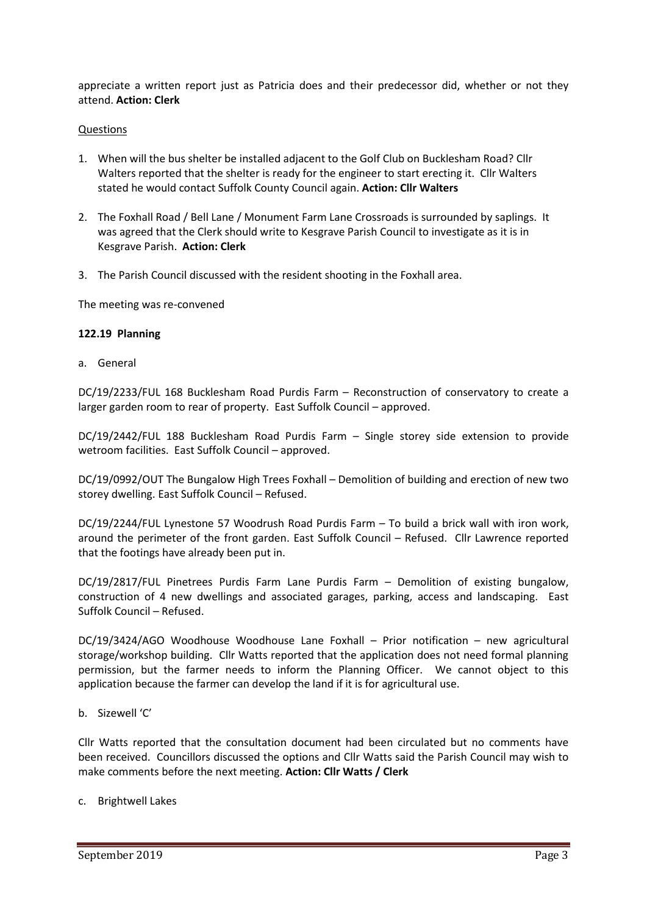appreciate a written report just as Patricia does and their predecessor did, whether or not they attend. **Action: Clerk**

#### Questions

- 1. When will the bus shelter be installed adjacent to the Golf Club on Bucklesham Road? Cllr Walters reported that the shelter is ready for the engineer to start erecting it. Cllr Walters stated he would contact Suffolk County Council again. **Action: Cllr Walters**
- 2. The Foxhall Road / Bell Lane / Monument Farm Lane Crossroads is surrounded by saplings. It was agreed that the Clerk should write to Kesgrave Parish Council to investigate as it is in Kesgrave Parish. **Action: Clerk**
- 3. The Parish Council discussed with the resident shooting in the Foxhall area.

The meeting was re-convened

#### **122.19 Planning**

a. General

DC/19/2233/FUL 168 Bucklesham Road Purdis Farm – Reconstruction of conservatory to create a larger garden room to rear of property. East Suffolk Council – approved.

DC/19/2442/FUL 188 Bucklesham Road Purdis Farm – Single storey side extension to provide wetroom facilities. East Suffolk Council – approved.

DC/19/0992/OUT The Bungalow High Trees Foxhall – Demolition of building and erection of new two storey dwelling. East Suffolk Council – Refused.

DC/19/2244/FUL Lynestone 57 Woodrush Road Purdis Farm – To build a brick wall with iron work, around the perimeter of the front garden. East Suffolk Council – Refused. Cllr Lawrence reported that the footings have already been put in.

DC/19/2817/FUL Pinetrees Purdis Farm Lane Purdis Farm – Demolition of existing bungalow, construction of 4 new dwellings and associated garages, parking, access and landscaping. East Suffolk Council – Refused.

DC/19/3424/AGO Woodhouse Woodhouse Lane Foxhall – Prior notification – new agricultural storage/workshop building.Cllr Watts reported that the application does not need formal planning permission, but the farmer needs to inform the Planning Officer. We cannot object to this application because the farmer can develop the land if it is for agricultural use.

b. Sizewell 'C'

Cllr Watts reported that the consultation document had been circulated but no comments have been received. Councillors discussed the options and Cllr Watts said the Parish Council may wish to make comments before the next meeting. **Action: Cllr Watts / Clerk**

c. Brightwell Lakes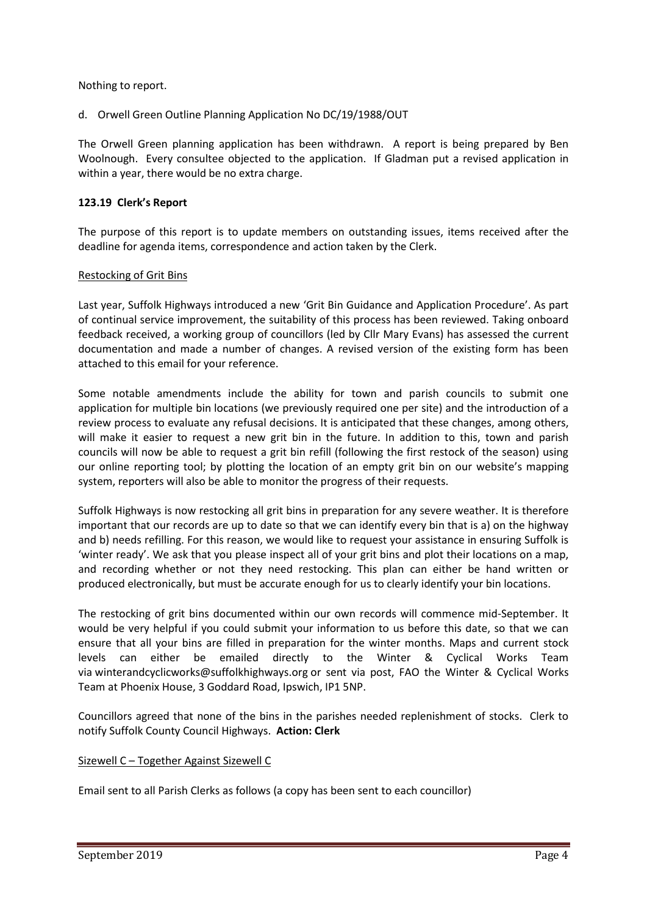Nothing to report.

d. Orwell Green Outline Planning Application No DC/19/1988/OUT

The Orwell Green planning application has been withdrawn. A report is being prepared by Ben Woolnough. Every consultee objected to the application. If Gladman put a revised application in within a year, there would be no extra charge.

### **123.19 Clerk's Report**

The purpose of this report is to update members on outstanding issues, items received after the deadline for agenda items, correspondence and action taken by the Clerk.

#### Restocking of Grit Bins

Last year, Suffolk Highways introduced a new 'Grit Bin Guidance and Application Procedure'. As part of continual service improvement, the suitability of this process has been reviewed. Taking onboard feedback received, a working group of councillors (led by Cllr Mary Evans) has assessed the current documentation and made a number of changes. A revised version of the existing form has been attached to this email for your reference.

Some notable amendments include the ability for town and parish councils to submit one application for multiple bin locations (we previously required one per site) and the introduction of a review process to evaluate any refusal decisions. It is anticipated that these changes, among others, will make it easier to request a new grit bin in the future. In addition to this, town and parish councils will now be able to request a grit bin refill (following the first restock of the season) using our online reporting tool; by plotting the location of an empty grit bin on our website's mapping system, reporters will also be able to monitor the progress of their requests.

Suffolk Highways is now restocking all grit bins in preparation for any severe weather. It is therefore important that our records are up to date so that we can identify every bin that is a) on the highway and b) needs refilling. For this reason, we would like to request your assistance in ensuring Suffolk is 'winter ready'. We ask that you please inspect all of your grit bins and plot their locations on a map, and recording whether or not they need restocking. This plan can either be hand written or produced electronically, but must be accurate enough for us to clearly identify your bin locations.

The restocking of grit bins documented within our own records will commence mid-September. It would be very helpful if you could submit your information to us before this date, so that we can ensure that all your bins are filled in preparation for the winter months. Maps and current stock levels can either be emailed directly to the Winter & Cyclical Works Team via [winterandcyclicworks@suffolkhighways.org](mailto:winterandcyclicworks@suffolkhighways.org) or sent via post, FAO the Winter & Cyclical Works Team at Phoenix House, 3 Goddard Road, Ipswich, IP1 5NP.

Councillors agreed that none of the bins in the parishes needed replenishment of stocks. Clerk to notify Suffolk County Council Highways. **Action: Clerk**

#### Sizewell C – Together Against Sizewell C

Email sent to all Parish Clerks as follows (a copy has been sent to each councillor)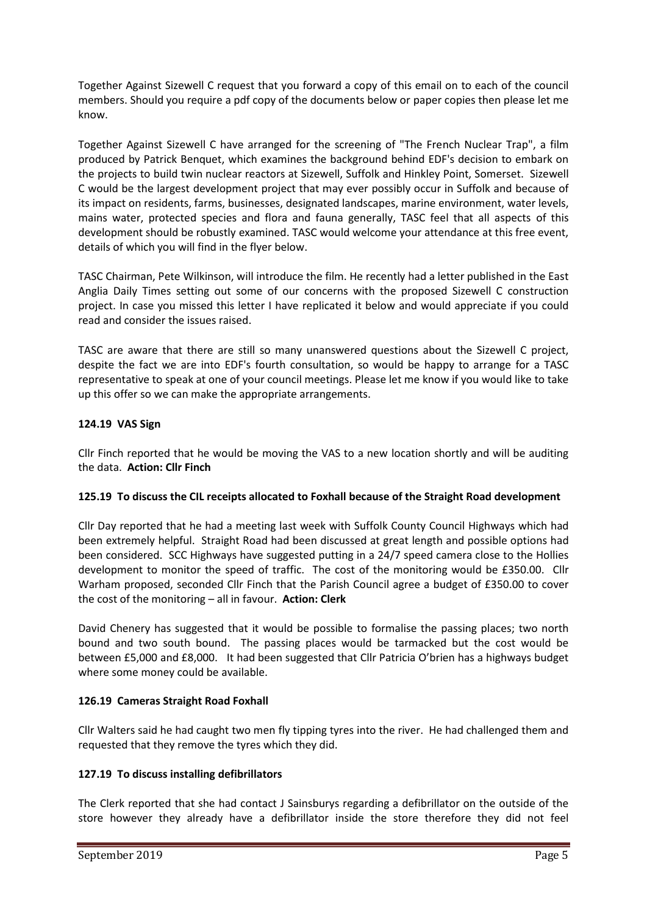Together Against Sizewell C request that you forward a copy of this email on to each of the council members. Should you require a pdf copy of the documents below or paper copies then please let me know.

Together Against Sizewell C have arranged for the screening of "The French Nuclear Trap", a film produced by Patrick Benquet, which examines the background behind EDF's decision to embark on the projects to build twin nuclear reactors at Sizewell, Suffolk and Hinkley Point, Somerset. Sizewell C would be the largest development project that may ever possibly occur in Suffolk and because of its impact on residents, farms, businesses, designated landscapes, marine environment, water levels, mains water, protected species and flora and fauna generally, TASC feel that all aspects of this development should be robustly examined. TASC would welcome your attendance at this free event, details of which you will find in the flyer below.

TASC Chairman, Pete Wilkinson, will introduce the film. He recently had a letter published in the East Anglia Daily Times setting out some of our concerns with the proposed Sizewell C construction project. In case you missed this letter I have replicated it below and would appreciate if you could read and consider the issues raised.

TASC are aware that there are still so many unanswered questions about the Sizewell C project, despite the fact we are into EDF's fourth consultation, so would be happy to arrange for a TASC representative to speak at one of your council meetings. Please let me know if you would like to take up this offer so we can make the appropriate arrangements.

## **124.19 VAS Sign**

Cllr Finch reported that he would be moving the VAS to a new location shortly and will be auditing the data. **Action: Cllr Finch**

## **125.19 To discuss the CIL receipts allocated to Foxhall because of the Straight Road development**

Cllr Day reported that he had a meeting last week with Suffolk County Council Highways which had been extremely helpful. Straight Road had been discussed at great length and possible options had been considered. SCC Highways have suggested putting in a 24/7 speed camera close to the Hollies development to monitor the speed of traffic. The cost of the monitoring would be £350.00. Cllr Warham proposed, seconded Cllr Finch that the Parish Council agree a budget of £350.00 to cover the cost of the monitoring – all in favour. **Action: Clerk**

David Chenery has suggested that it would be possible to formalise the passing places; two north bound and two south bound. The passing places would be tarmacked but the cost would be between £5,000 and £8,000. It had been suggested that Cllr Patricia O'brien has a highways budget where some money could be available.

# **126.19 Cameras Straight Road Foxhall**

Cllr Walters said he had caught two men fly tipping tyres into the river. He had challenged them and requested that they remove the tyres which they did.

# **127.19 To discuss installing defibrillators**

The Clerk reported that she had contact J Sainsburys regarding a defibrillator on the outside of the store however they already have a defibrillator inside the store therefore they did not feel